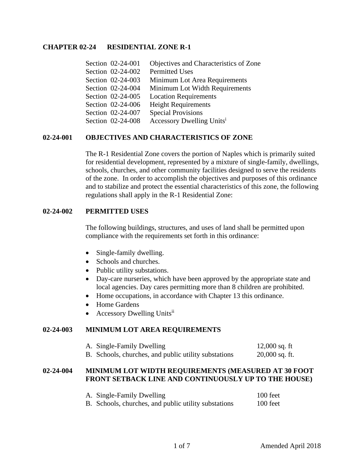## **CHAPTER 02-24 RESIDENTIAL ZONE R-1**

| Section 02-24-001 | Objectives and Characteristics of Zone |
|-------------------|----------------------------------------|
| Section 02-24-002 | <b>Permitted Uses</b>                  |
| Section 02-24-003 | Minimum Lot Area Requirements          |
| Section 02-24-004 | Minimum Lot Width Requirements         |
| Section 02-24-005 | <b>Location Requirements</b>           |
| Section 02-24-006 | <b>Height Requirements</b>             |
| Section 02-24-007 | <b>Special Provisions</b>              |
| Section 02-24-008 | Accessory Dwelling Units <sup>i</sup>  |

## **02-24-001 OBJECTIVES AND CHARACTERISTICS OF ZONE**

The R-1 Residential Zone covers the portion of Naples which is primarily suited for residential development, represented by a mixture of single-family, dwellings, schools, churches, and other community facilities designed to serve the residents of the zone. In order to accomplish the objectives and purposes of this ordinance and to stabilize and protect the essential characteristics of this zone, the following regulations shall apply in the R-1 Residential Zone:

## **02-24-002 PERMITTED USES**

The following buildings, structures, and uses of land shall be permitted upon compliance with the requirements set forth in this ordinance:

- Single-family dwelling.
- Schools and churches.
- Public utility substations.
- Day-care nurseries, which have been approved by the appropriate state and local agencies. Day cares permitting more than 8 children are prohibited.
- Home occupations, in accordance with Chapter 13 this ordinance.
- Home Gardens
- Accessory Dwelling Units<sup>ii</sup>

#### **02-24-003 MINIMUM LOT AREA REQUIREMENTS**

| A. Single-Family Dwelling                            | 12,000 sq. ft    |
|------------------------------------------------------|------------------|
| B. Schools, churches, and public utility substations | $20,000$ sq. ft. |

## **02-24-004 MINIMUM LOT WIDTH REQUIREMENTS (MEASURED AT 30 FOOT FRONT SETBACK LINE AND CONTINUOUSLY UP TO THE HOUSE)**

| A. Single-Family Dwelling                            | 100 feet |
|------------------------------------------------------|----------|
| B. Schools, churches, and public utility substations | 100 feet |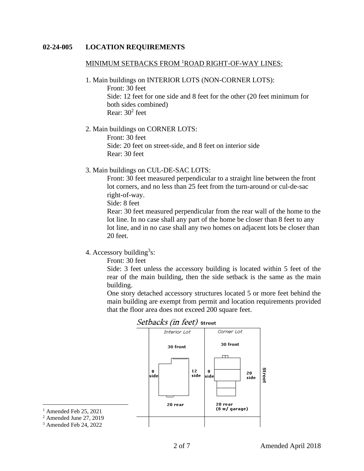#### **02-24-005 LOCATION REQUIREMENTS**

#### MINIMUM SETBACKS FROM <sup>1</sup>ROAD RIGHT-OF-WAY LINES:

1. Main buildings on INTERIOR LOTS (NON-CORNER LOTS):

Front: 30 feet Side: 12 feet for one side and 8 feet for the other (20 feet minimum for both sides combined) Rear: 30<sup>2</sup> feet

2. Main buildings on CORNER LOTS:

Front: 30 feet Side: 20 feet on street-side, and 8 feet on interior side Rear: 30 feet

3. Main buildings on CUL-DE-SAC LOTS:

Front: 30 feet measured perpendicular to a straight line between the front lot corners, and no less than 25 feet from the turn-around or cul-de-sac right-of-way.

Side: 8 feet

Rear: 30 feet measured perpendicular from the rear wall of the home to the lot line. In no case shall any part of the home be closer than 8 feet to any lot line, and in no case shall any two homes on adjacent lots be closer than 20 feet.

4. Accessory building<sup>3</sup>s:

Front: 30 feet

Side: 3 feet unless the accessory building is located within 5 feet of the rear of the main building, then the side setback is the same as the main building.

One story detached accessory structures located 5 or more feet behind the main building are exempt from permit and location requirements provided that the floor area does not exceed 200 square feet.



<sup>1</sup> Amended Feb 25, 2021

<sup>2</sup> Amended June 27, 2019

<sup>3</sup> Amended Feb 24, 2022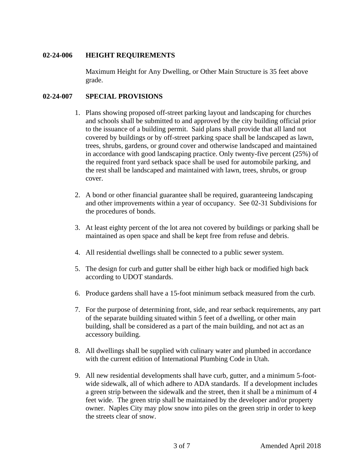## **02-24-006 HEIGHT REQUIREMENTS**

Maximum Height for Any Dwelling, or Other Main Structure is 35 feet above grade.

## **02-24-007 SPECIAL PROVISIONS**

- 1. Plans showing proposed off-street parking layout and landscaping for churches and schools shall be submitted to and approved by the city building official prior to the issuance of a building permit. Said plans shall provide that all land not covered by buildings or by off-street parking space shall be landscaped as lawn, trees, shrubs, gardens, or ground cover and otherwise landscaped and maintained in accordance with good landscaping practice. Only twenty-five percent (25%) of the required front yard setback space shall be used for automobile parking, and the rest shall be landscaped and maintained with lawn, trees, shrubs, or group cover.
- 2. A bond or other financial guarantee shall be required, guaranteeing landscaping and other improvements within a year of occupancy. See 02-31 Subdivisions for the procedures of bonds.
- 3. At least eighty percent of the lot area not covered by buildings or parking shall be maintained as open space and shall be kept free from refuse and debris.
- 4. All residential dwellings shall be connected to a public sewer system.
- 5. The design for curb and gutter shall be either high back or modified high back according to UDOT standards.
- 6. Produce gardens shall have a 15-foot minimum setback measured from the curb.
- 7. For the purpose of determining front, side, and rear setback requirements, any part of the separate building situated within 5 feet of a dwelling, or other main building, shall be considered as a part of the main building, and not act as an accessory building.
- 8. All dwellings shall be supplied with culinary water and plumbed in accordance with the current edition of International Plumbing Code in Utah.
- 9. All new residential developments shall have curb, gutter, and a minimum 5-footwide sidewalk, all of which adhere to ADA standards. If a development includes a green strip between the sidewalk and the street, then it shall be a minimum of 4 feet wide. The green strip shall be maintained by the developer and/or property owner. Naples City may plow snow into piles on the green strip in order to keep the streets clear of snow.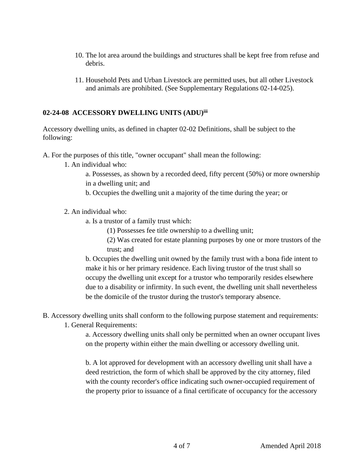- 10. The lot area around the buildings and structures shall be kept free from refuse and debris.
- 11. Household Pets and Urban Livestock are permitted uses, but all other Livestock and animals are prohibited. (See Supplementary Regulations 02-14-025).

# **02-24-08 ACCESSORY DWELLING UNITS (ADU)iii**

Accessory dwelling units, as defined in chapter 02-02 Definitions, shall be subject to the following:

A. For the purposes of this title, "owner occupant" shall mean the following:

- 1. An individual who:
	- a. Possesses, as shown by a recorded deed, fifty percent (50%) or more ownership in a dwelling unit; and
	- b. Occupies the dwelling unit a majority of the time during the year; or
- 2. An individual who:
	- a. Is a trustor of a family trust which:
		- (1) Possesses fee title ownership to a dwelling unit;

(2) Was created for estate planning purposes by one or more trustors of the trust; and

b. Occupies the dwelling unit owned by the family trust with a bona fide intent to make it his or her primary residence. Each living trustor of the trust shall so occupy the dwelling unit except for a trustor who temporarily resides elsewhere due to a disability or infirmity. In such event, the dwelling unit shall nevertheless be the domicile of the trustor during the trustor's temporary absence.

B. Accessory dwelling units shall conform to the following purpose statement and requirements:

1. General Requirements:

a. Accessory dwelling units shall only be permitted when an owner occupant lives on the property within either the main dwelling or accessory dwelling unit.

b. A lot approved for development with an accessory dwelling unit shall have a deed restriction, the form of which shall be approved by the city attorney, filed with the county recorder's office indicating such owner-occupied requirement of the property prior to issuance of a final certificate of occupancy for the accessory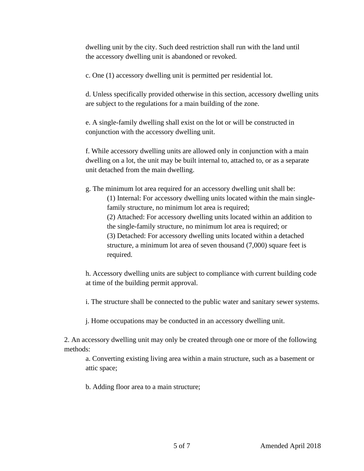dwelling unit by the city. Such deed restriction shall run with the land until the accessory dwelling unit is abandoned or revoked.

c. One (1) accessory dwelling unit is permitted per residential lot.

d. Unless specifically provided otherwise in this section, accessory dwelling units are subject to the regulations for a main building of the zone.

e. A single-family dwelling shall exist on the lot or will be constructed in conjunction with the accessory dwelling unit.

f. While accessory dwelling units are allowed only in conjunction with a main dwelling on a lot, the unit may be built internal to, attached to, or as a separate unit detached from the main dwelling.

g. The minimum lot area required for an accessory dwelling unit shall be: (1) Internal: For accessory dwelling units located within the main singlefamily structure, no minimum lot area is required; (2) Attached: For accessory dwelling units located within an addition to the single-family structure, no minimum lot area is required; or (3) Detached: For accessory dwelling units located within a detached structure, a minimum lot area of seven thousand (7,000) square feet is required.

h. Accessory dwelling units are subject to compliance with current building code at time of the building permit approval.

i. The structure shall be connected to the public water and sanitary sewer systems.

j. Home occupations may be conducted in an accessory dwelling unit.

2. An accessory dwelling unit may only be created through one or more of the following methods:

a. Converting existing living area within a main structure, such as a basement or attic space;

b. Adding floor area to a main structure;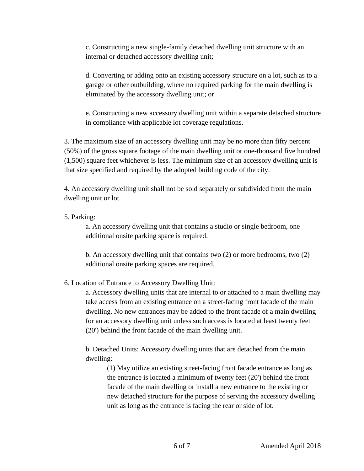c. Constructing a new single-family detached dwelling unit structure with an internal or detached accessory dwelling unit;

d. Converting or adding onto an existing accessory structure on a lot, such as to a garage or other outbuilding, where no required parking for the main dwelling is eliminated by the accessory dwelling unit; or

e. Constructing a new accessory dwelling unit within a separate detached structure in compliance with applicable lot coverage regulations.

3. The maximum size of an accessory dwelling unit may be no more than fifty percent (50%) of the gross square footage of the main dwelling unit or one-thousand five hundred (1,500) square feet whichever is less. The minimum size of an accessory dwelling unit is that size specified and required by the adopted building code of the city.

4. An accessory dwelling unit shall not be sold separately or subdivided from the main dwelling unit or lot.

# 5. Parking:

a. An accessory dwelling unit that contains a studio or single bedroom, one additional onsite parking space is required.

b. An accessory dwelling unit that contains two (2) or more bedrooms, two (2) additional onsite parking spaces are required.

# 6. Location of Entrance to Accessory Dwelling Unit:

a. Accessory dwelling units that are internal to or attached to a main dwelling may take access from an existing entrance on a street-facing front facade of the main dwelling. No new entrances may be added to the front facade of a main dwelling for an accessory dwelling unit unless such access is located at least twenty feet (20') behind the front facade of the main dwelling unit.

b. Detached Units: Accessory dwelling units that are detached from the main dwelling:

(1) May utilize an existing street-facing front facade entrance as long as the entrance is located a minimum of twenty feet (20') behind the front facade of the main dwelling or install a new entrance to the existing or new detached structure for the purpose of serving the accessory dwelling unit as long as the entrance is facing the rear or side of lot.